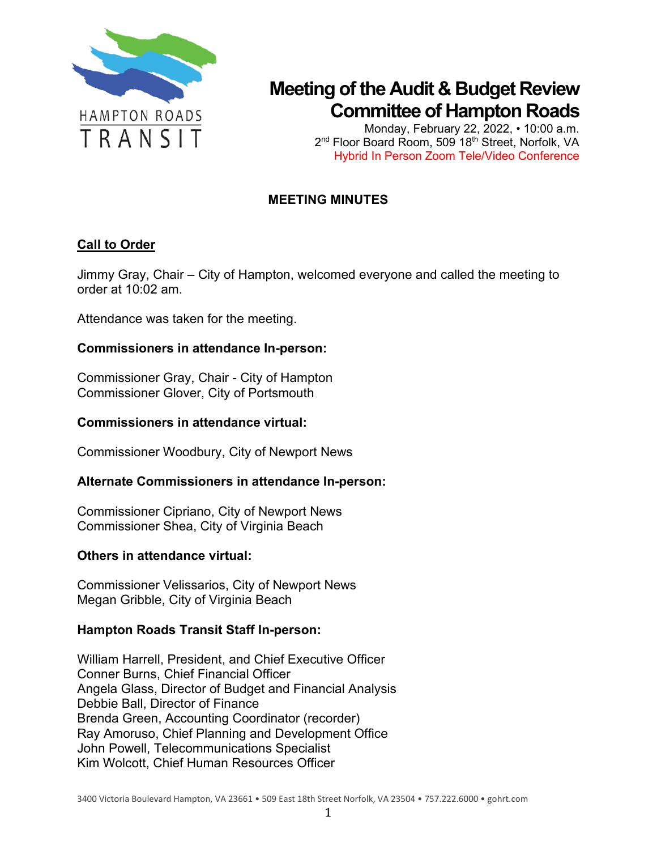

Monday, February 22, 2022, • 10:00 a.m. 2<sup>nd</sup> Floor Board Room, 509 18<sup>th</sup> Street, Norfolk, VA Hybrid In Person Zoom Tele/Video Conference

### **MEETING MINUTES**

### **Call to Order**

Jimmy Gray, Chair – City of Hampton, welcomed everyone and called the meeting to order at 10:02 am.

Attendance was taken for the meeting.

### **Commissioners in attendance In-person:**

Commissioner Gray, Chair - City of Hampton Commissioner Glover, City of Portsmouth

#### **Commissioners in attendance virtual:**

Commissioner Woodbury, City of Newport News

### **Alternate Commissioners in attendance In-person:**

Commissioner Cipriano, City of Newport News Commissioner Shea, City of Virginia Beach

#### **Others in attendance virtual:**

Commissioner Velissarios, City of Newport News Megan Gribble, City of Virginia Beach

#### **Hampton Roads Transit Staff In-person:**

William Harrell, President, and Chief Executive Officer Conner Burns, Chief Financial Officer Angela Glass, Director of Budget and Financial Analysis Debbie Ball, Director of Finance Brenda Green, Accounting Coordinator (recorder) Ray Amoruso, Chief Planning and Development Office John Powell, Telecommunications Specialist Kim Wolcott, Chief Human Resources Officer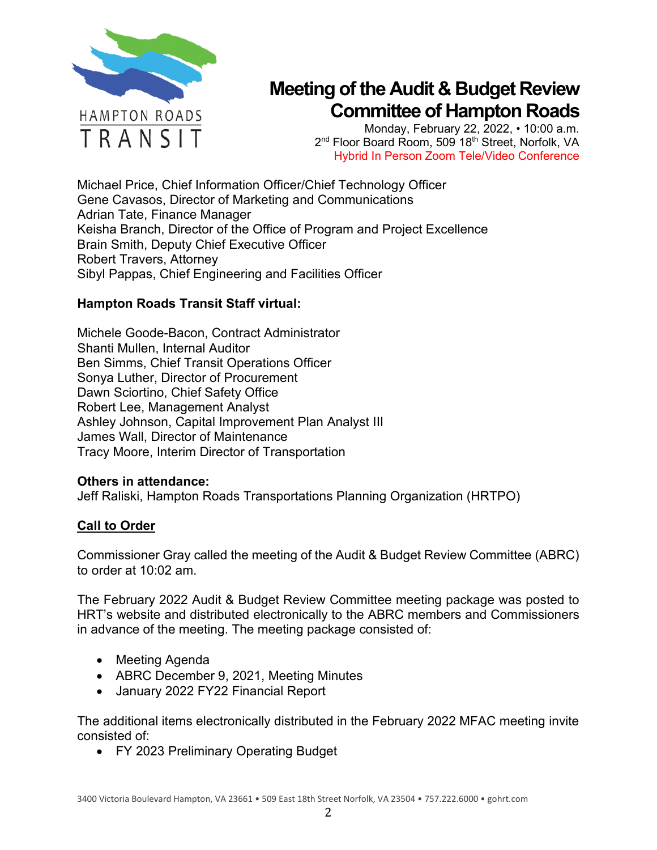

Monday, February 22, 2022, • 10:00 a.m. 2<sup>nd</sup> Floor Board Room, 509 18<sup>th</sup> Street, Norfolk, VA Hybrid In Person Zoom Tele/Video Conference

Michael Price, Chief Information Officer/Chief Technology Officer Gene Cavasos, Director of Marketing and Communications Adrian Tate, Finance Manager Keisha Branch, Director of the Office of Program and Project Excellence Brain Smith, Deputy Chief Executive Officer Robert Travers, Attorney Sibyl Pappas, Chief Engineering and Facilities Officer

### **Hampton Roads Transit Staff virtual:**

Michele Goode-Bacon, Contract Administrator Shanti Mullen, Internal Auditor Ben Simms, Chief Transit Operations Officer Sonya Luther, Director of Procurement Dawn Sciortino, Chief Safety Office Robert Lee, Management Analyst Ashley Johnson, Capital Improvement Plan Analyst III James Wall, Director of Maintenance Tracy Moore, Interim Director of Transportation

### **Others in attendance:**

Jeff Raliski, Hampton Roads Transportations Planning Organization (HRTPO)

### **Call to Order**

Commissioner Gray called the meeting of the Audit & Budget Review Committee (ABRC) to order at 10:02 am.

The February 2022 Audit & Budget Review Committee meeting package was posted to HRT's website and distributed electronically to the ABRC members and Commissioners in advance of the meeting. The meeting package consisted of:

- Meeting Agenda
- ABRC December 9, 2021, Meeting Minutes
- January 2022 FY22 Financial Report

The additional items electronically distributed in the February 2022 MFAC meeting invite consisted of:

• FY 2023 Preliminary Operating Budget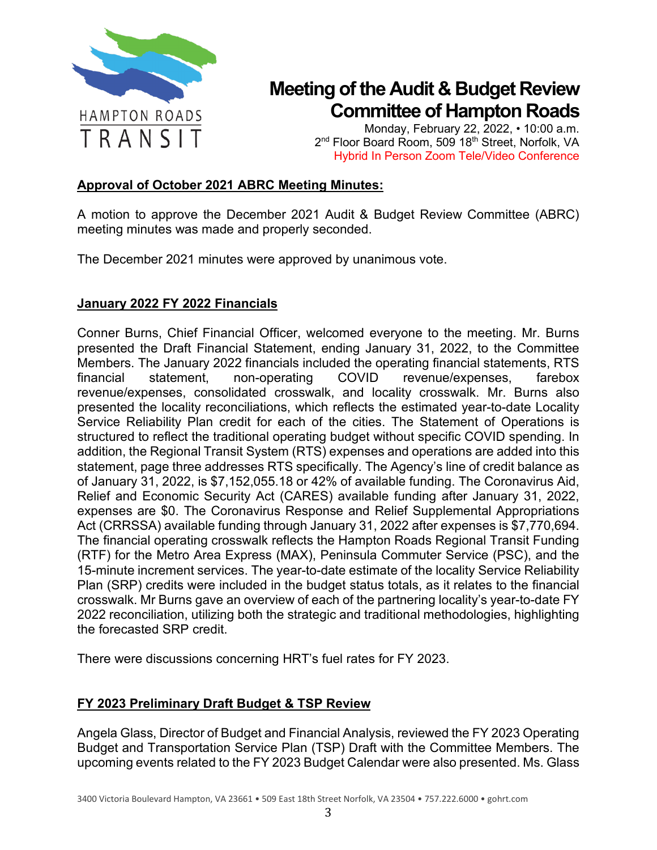

Monday, February 22, 2022, • 10:00 a.m. 2<sup>nd</sup> Floor Board Room, 509 18<sup>th</sup> Street, Norfolk, VA Hybrid In Person Zoom Tele/Video Conference

### **Approval of October 2021 ABRC Meeting Minutes:**

A motion to approve the December 2021 Audit & Budget Review Committee (ABRC) meeting minutes was made and properly seconded.

The December 2021 minutes were approved by unanimous vote.

#### **January 2022 FY 2022 Financials**

Conner Burns, Chief Financial Officer, welcomed everyone to the meeting. Mr. Burns presented the Draft Financial Statement, ending January 31, 2022, to the Committee Members. The January 2022 financials included the operating financial statements, RTS financial statement, non-operating COVID revenue/expenses, farebox revenue/expenses, consolidated crosswalk, and locality crosswalk. Mr. Burns also presented the locality reconciliations, which reflects the estimated year-to-date Locality Service Reliability Plan credit for each of the cities. The Statement of Operations is structured to reflect the traditional operating budget without specific COVID spending. In addition, the Regional Transit System (RTS) expenses and operations are added into this statement, page three addresses RTS specifically. The Agency's line of credit balance as of January 31, 2022, is \$7,152,055.18 or 42% of available funding. The Coronavirus Aid, Relief and Economic Security Act (CARES) available funding after January 31, 2022, expenses are \$0. The Coronavirus Response and Relief Supplemental Appropriations Act (CRRSSA) available funding through January 31, 2022 after expenses is \$7,770,694. The financial operating crosswalk reflects the Hampton Roads Regional Transit Funding (RTF) for the Metro Area Express (MAX), Peninsula Commuter Service (PSC), and the 15-minute increment services. The year-to-date estimate of the locality Service Reliability Plan (SRP) credits were included in the budget status totals, as it relates to the financial crosswalk. Mr Burns gave an overview of each of the partnering locality's year-to-date FY 2022 reconciliation, utilizing both the strategic and traditional methodologies, highlighting the forecasted SRP credit.

There were discussions concerning HRT's fuel rates for FY 2023.

### **FY 2023 Preliminary Draft Budget & TSP Review**

Angela Glass, Director of Budget and Financial Analysis, reviewed the FY 2023 Operating Budget and Transportation Service Plan (TSP) Draft with the Committee Members. The upcoming events related to the FY 2023 Budget Calendar were also presented. Ms. Glass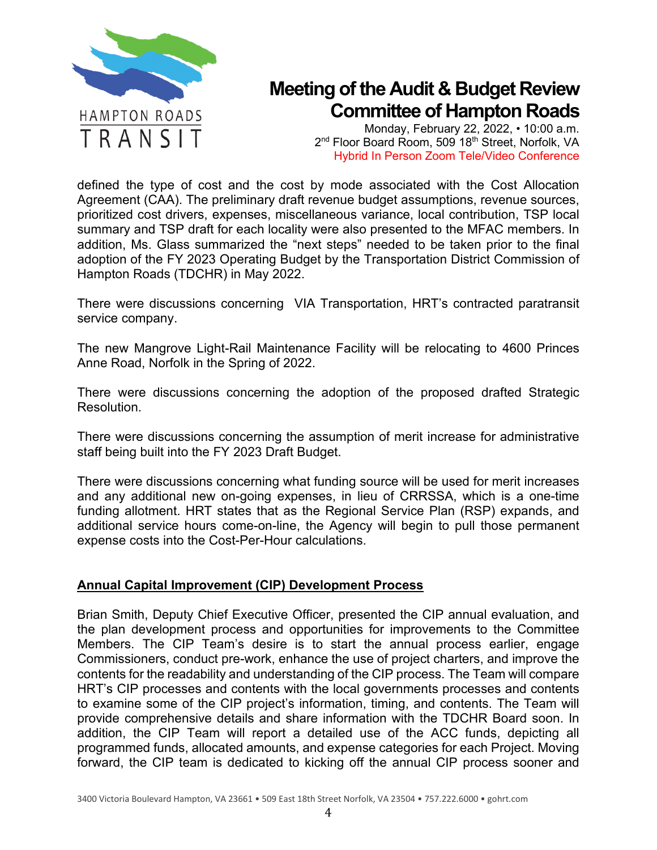

Monday, February 22, 2022, • 10:00 a.m. 2<sup>nd</sup> Floor Board Room, 509 18<sup>th</sup> Street, Norfolk, VA Hybrid In Person Zoom Tele/Video Conference

defined the type of cost and the cost by mode associated with the Cost Allocation Agreement (CAA). The preliminary draft revenue budget assumptions, revenue sources, prioritized cost drivers, expenses, miscellaneous variance, local contribution, TSP local summary and TSP draft for each locality were also presented to the MFAC members. In addition, Ms. Glass summarized the "next steps" needed to be taken prior to the final adoption of the FY 2023 Operating Budget by the Transportation District Commission of Hampton Roads (TDCHR) in May 2022.

There were discussions concerning VIA Transportation, HRT's contracted paratransit service company.

The new Mangrove Light-Rail Maintenance Facility will be relocating to 4600 Princes Anne Road, Norfolk in the Spring of 2022.

There were discussions concerning the adoption of the proposed drafted Strategic Resolution.

There were discussions concerning the assumption of merit increase for administrative staff being built into the FY 2023 Draft Budget.

There were discussions concerning what funding source will be used for merit increases and any additional new on-going expenses, in lieu of CRRSSA, which is a one-time funding allotment. HRT states that as the Regional Service Plan (RSP) expands, and additional service hours come-on-line, the Agency will begin to pull those permanent expense costs into the Cost-Per-Hour calculations.

### **Annual Capital Improvement (CIP) Development Process**

Brian Smith, Deputy Chief Executive Officer, presented the CIP annual evaluation, and the plan development process and opportunities for improvements to the Committee Members. The CIP Team's desire is to start the annual process earlier, engage Commissioners, conduct pre-work, enhance the use of project charters, and improve the contents for the readability and understanding of the CIP process. The Team will compare HRT's CIP processes and contents with the local governments processes and contents to examine some of the CIP project's information, timing, and contents. The Team will provide comprehensive details and share information with the TDCHR Board soon. In addition, the CIP Team will report a detailed use of the ACC funds, depicting all programmed funds, allocated amounts, and expense categories for each Project. Moving forward, the CIP team is dedicated to kicking off the annual CIP process sooner and